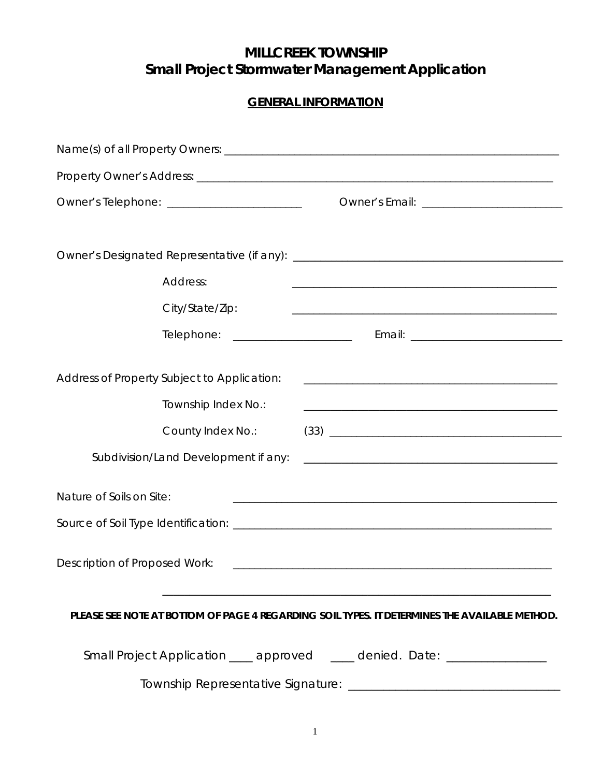# **MILLCREEK TOWNSHIP Small Project Stormwater Management Application**

# **GENERAL INFORMATION**

| Owner's Telephone: __________________________                                                 |                                                                                                                      |  |  |  |
|-----------------------------------------------------------------------------------------------|----------------------------------------------------------------------------------------------------------------------|--|--|--|
|                                                                                               |                                                                                                                      |  |  |  |
|                                                                                               |                                                                                                                      |  |  |  |
| Address:                                                                                      |                                                                                                                      |  |  |  |
| City/State/Zip:                                                                               |                                                                                                                      |  |  |  |
|                                                                                               |                                                                                                                      |  |  |  |
|                                                                                               |                                                                                                                      |  |  |  |
| Address of Property Subject to Application:                                                   |                                                                                                                      |  |  |  |
| Township Index No.:                                                                           |                                                                                                                      |  |  |  |
| County Index No.:                                                                             | $(33) \t\underline{\hspace{2cm}}$                                                                                    |  |  |  |
| Subdivision/Land Development if any:                                                          | <u> 2000 - 2000 - 2000 - 2000 - 2000 - 2000 - 2000 - 2000 - 2000 - 2000 - 2000 - 2000 - 2000 - 2000 - 2000 - 200</u> |  |  |  |
| Nature of Soils on Site:                                                                      | the contract of the contract of the contract of the contract of the contract of the contract of the contract of      |  |  |  |
|                                                                                               |                                                                                                                      |  |  |  |
| <b>Description of Proposed Work:</b>                                                          |                                                                                                                      |  |  |  |
| PLEASE SEE NOTE AT BOTTOM OF PAGE 4 REGARDING SOIL TYPES. IT DETERMINES THE AVAILABLE METHOD. |                                                                                                                      |  |  |  |
|                                                                                               | Small Project Application ____ approved ____ denied. Date: _______________                                           |  |  |  |
|                                                                                               |                                                                                                                      |  |  |  |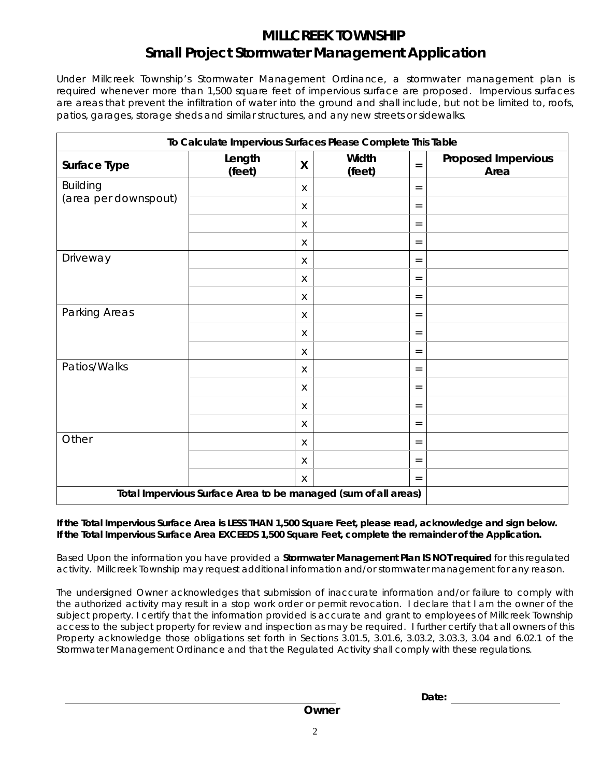# **MILLCREEK TOWNSHIP Small Project Stormwater Management Application**

Under Millcreek Township's Stormwater Management Ordinance, a stormwater management plan is required whenever more than 1,500 square feet of impervious surface are proposed. Impervious surfaces are areas that prevent the infiltration of water into the ground and shall include, but not be limited to, roofs, patios, garages, storage sheds and similar structures, and any new streets or sidewalks.

| To Calculate Impervious Surfaces Please Complete This Table    |                  |   |                 |                   |                                    |
|----------------------------------------------------------------|------------------|---|-----------------|-------------------|------------------------------------|
| Surface Type                                                   | Length<br>(feet) | X | Width<br>(feet) | $=$               | <b>Proposed Impervious</b><br>Area |
| <b>Building</b>                                                |                  | X |                 | $=$               |                                    |
| (area per downspout)                                           |                  | X |                 | $\qquad \qquad =$ |                                    |
|                                                                |                  | X |                 | $=$               |                                    |
|                                                                |                  | X |                 | $=$               |                                    |
| Driveway                                                       |                  | X |                 | $\qquad \qquad =$ |                                    |
|                                                                |                  | X |                 | $=$               |                                    |
|                                                                |                  | X |                 | $=$               |                                    |
| Parking Areas                                                  |                  | X |                 | $=$               |                                    |
|                                                                |                  | X |                 | $=$               |                                    |
|                                                                |                  | X |                 | $=$               |                                    |
| Patios/Walks                                                   |                  | X |                 | $=$               |                                    |
|                                                                |                  | X |                 | $=$               |                                    |
|                                                                |                  | X |                 | $=$               |                                    |
|                                                                |                  | X |                 | $=$               |                                    |
| Other                                                          |                  | X |                 | $=$               |                                    |
|                                                                |                  | X |                 | $=$               |                                    |
|                                                                |                  | X |                 | $=$               |                                    |
| Total Impervious Surface Area to be managed (sum of all areas) |                  |   |                 |                   |                                    |

### **If the Total Impervious Surface Area is LESS THAN 1,500 Square Feet, please read, acknowledge and sign below. If the Total Impervious Surface Area EXCEEDS 1,500 Square Feet, complete the remainder of the Application.**

Based Upon the information you have provided a *Stormwater Management Plan IS NOT required* for this regulated activity. Millcreek Township may request additional information and/or stormwater management for any reason.

The undersigned Owner acknowledges that submission of inaccurate information and/or failure to comply with the authorized activity may result in a stop work order or permit revocation. I declare that I am the owner of the subject property. I certify that the information provided is accurate and grant to employees of Millcreek Township access to the subject property for review and inspection as may be required. I further certify that all owners of this Property acknowledge those obligations set forth in Sections 3.01.5, 3.01.6, 3.03.2, 3.03.3, 3.04 and 6.02.1 of the Stormwater Management Ordinance and that the Regulated Activity shall comply with these regulations.

**Date:**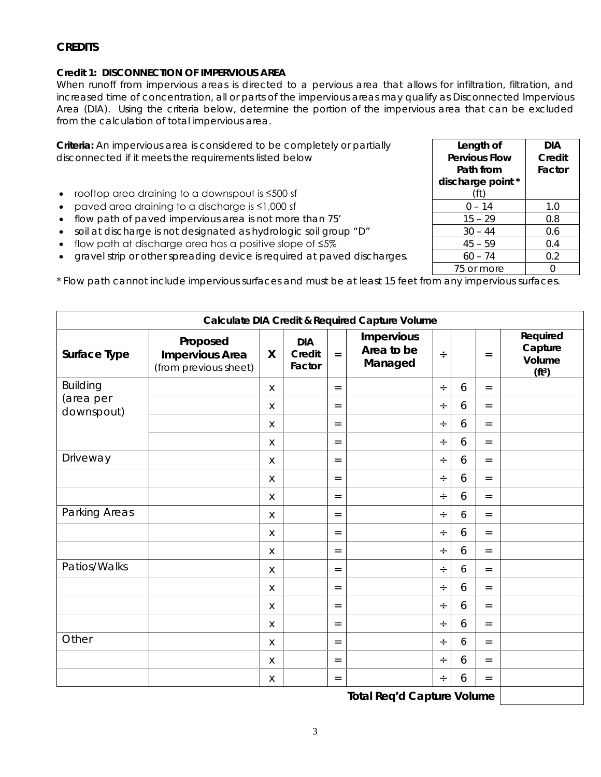## **CREDITS**

#### **Credit 1: DISCONNECTION OF IMPERVIOUS AREA**

When runoff from impervious areas is directed to a pervious area that allows for infiltration, filtration, and increased time of concentration, all or parts of the impervious areas may qualify as Disconnected Impervious Area (DIA). Using the criteria below, determine the portion of the impervious area that can be excluded from the calculation of total impervious area.

**Criteria:** An impervious area is considered to be completely or partially disconnected if it meets the requirements listed below

- rooftop area draining to a downspout is ≤500 sf
- paved area draining to a discharge is  $\leq 1,000$  sf
- flow path of paved impervious area is not more than 75'
- soil at discharge is not designated as hydrologic soil group "D"
- flow path at discharge area has a positive slope of  $\leq 5\%$
- gravel strip or other spreading device is required at paved discharges.

\* Flow path cannot include impervious surfaces and must be at least 15 feet from any impervious surfaces.

| Calculate DIA Credit & Required Capture Volume |                                                             |              |                                |                   |                                            |        |   |                   |                                                     |
|------------------------------------------------|-------------------------------------------------------------|--------------|--------------------------------|-------------------|--------------------------------------------|--------|---|-------------------|-----------------------------------------------------|
| Surface Type                                   | Proposed<br><b>Impervious Area</b><br>(from previous sheet) | X            | <b>DIA</b><br>Credit<br>Factor | $=$               | <b>Impervious</b><br>Area to be<br>Managed | $\div$ |   | $=$               | Required<br>Capture<br>Volume<br>(ft <sup>3</sup> ) |
| <b>Building</b>                                |                                                             | $\sf X$      |                                | $=$               |                                            | $\div$ | 6 | $=$               |                                                     |
| (area per<br>downspout)                        |                                                             | $\mathsf X$  |                                | $=$               |                                            | ÷      | 6 | $=$               |                                                     |
|                                                |                                                             | X            |                                | $=$               |                                            | $\div$ | 6 | $=$               |                                                     |
|                                                |                                                             | $\mathsf X$  |                                | $\qquad \qquad =$ |                                            | $\div$ | 6 | $=$               |                                                     |
| Driveway                                       |                                                             | Χ            |                                | $=$               |                                            | $\div$ | 6 | $=$               |                                                     |
|                                                |                                                             | X            |                                | $\qquad \qquad =$ |                                            | ÷      | 6 | $=$               |                                                     |
|                                                |                                                             | $\mathsf X$  |                                | $=$               |                                            | ÷      | 6 | $=$               |                                                     |
| Parking Areas                                  |                                                             | X            |                                | $=$               |                                            | $\div$ | 6 | $=$               |                                                     |
|                                                |                                                             | X            |                                | $=$               |                                            | $\div$ | 6 | $=$               |                                                     |
|                                                |                                                             | $\mathsf{X}$ |                                | $=$               |                                            | $\div$ | 6 | $=$               |                                                     |
| Patios/Walks                                   |                                                             | X            |                                | $=$               |                                            | ÷      | 6 | $=$               |                                                     |
|                                                |                                                             | X            |                                | $=$               |                                            | $\div$ | 6 | $=$               |                                                     |
|                                                |                                                             | X            |                                | $\qquad \qquad =$ |                                            | $\div$ | 6 | $\qquad \qquad =$ |                                                     |
|                                                |                                                             | X            |                                | $=$               |                                            | ÷      | 6 | $=$               |                                                     |
| Other                                          |                                                             | X            |                                | $\qquad \qquad =$ |                                            | ÷      | 6 | $=$               |                                                     |
|                                                |                                                             | X            |                                | $=$               |                                            | ÷      | 6 | $=$               |                                                     |
|                                                |                                                             | Χ            |                                | $=$               |                                            | ÷      | 6 | $=$               |                                                     |

**Total Req'd Capture Volume**

| Length of<br><b>Pervious Flow</b><br>Path from | DIA<br>Credit<br>Factor |  |  |  |
|------------------------------------------------|-------------------------|--|--|--|
| discharge point *<br>(ft)                      |                         |  |  |  |
| $0 - 14$                                       | 1.0                     |  |  |  |
| $15 - 29$                                      | 0.8                     |  |  |  |
| $30 - 44$                                      | 0.6                     |  |  |  |
| $45 - 59$                                      | 0.4                     |  |  |  |
| $60 - 74$                                      | 0.2                     |  |  |  |
| 75 or more                                     |                         |  |  |  |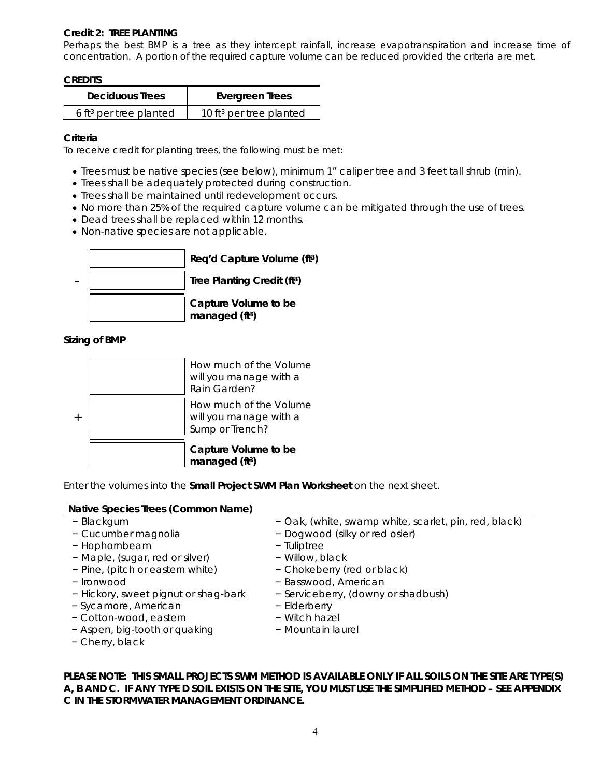### **Credit 2: TREE PLANTING**

Perhaps the best BMP is a tree as they intercept rainfall, increase evapotranspiration and increase time of concentration. A portion of the required capture volume can be reduced provided the criteria are met.

#### **CREDITS**

| <b>Deciduous Trees</b>             | Evergreen Trees                     |  |  |  |
|------------------------------------|-------------------------------------|--|--|--|
| 6 ft <sup>3</sup> per tree planted | 10 ft <sup>3</sup> per tree planted |  |  |  |

#### **Criteria**

To receive credit for planting trees, the following must be met:

- Trees must be native species (see below), minimum 1" caliper tree and 3 feet tall shrub (min).
- Trees shall be adequately protected during construction.
- Trees shall be maintained until redevelopment occurs.
- No more than 25% of the required capture volume can be mitigated through the use of trees.
- Dead trees shall be replaced within 12 months.
- Non-native species are not applicable.



#### **Sizing of BMP**



Enter the volumes into the **Small Project SWM Plan Worksheet** on the next sheet.

### **Native Species Trees (Common Name)**

| - Blackgum<br>- Cucumber magnolia<br>- Hophornbeam<br>- Maple, (sugar, red or silver)<br>- Pine, (pitch or eastern white)<br>- Ironwood<br>- Hickory, sweet pignut or shag-bark<br>- Sycamore, American<br>- Cotton-wood, eastern<br>- Aspen, big-tooth or quaking | - Oak, (white, swamp white, scarlet, pin, red, black)<br>- Dogwood (silky or red osier)<br>- Tuliptree<br>- Willow, black<br>- Chokeberry (red or black)<br>- Basswood, American<br>- Serviceberry, (downy or shadbush)<br>- Elderberry<br>- Witch hazel<br>- Mountain laurel |
|--------------------------------------------------------------------------------------------------------------------------------------------------------------------------------------------------------------------------------------------------------------------|-------------------------------------------------------------------------------------------------------------------------------------------------------------------------------------------------------------------------------------------------------------------------------|
| - Cherry, black                                                                                                                                                                                                                                                    |                                                                                                                                                                                                                                                                               |
|                                                                                                                                                                                                                                                                    |                                                                                                                                                                                                                                                                               |

**PLEASE NOTE: THIS SMALL PROJECTS SWM METHOD IS AVAILABLE ONLY IF ALL SOILS ON THE SITE ARE TYPE(S) A, B AND C. IF ANY TYPE D SOIL EXISTS ON THE SITE, YOU MUST USE THE SIMPLIFIED METHOD – SEE APPENDIX C IN THE STORMWATER MANAGEMENT ORDINANCE.**